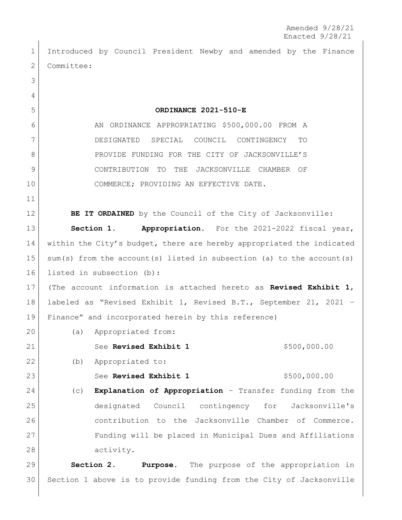Introduced by Council President Newby and amended by the Finance 2 Committee: **ORDINANCE 2021-510-E** 6 AN ORDINANCE APPROPRIATING \$500,000.00 FROM A DESIGNATED SPECIAL COUNCIL CONTINGENCY TO 8 PROVIDE FUNDING FOR THE CITY OF JACKSONVILLE'S CONTRIBUTION TO THE JACKSONVILLE CHAMBER OF COMMERCE; PROVIDING AN EFFECTIVE DATE. **BE IT ORDAINED** by the Council of the City of Jacksonville: **Section 1. Appropriation.** For the 2021-2022 fiscal year, within the City's budget, there are hereby appropriated the indicated 15 | sum(s) from the account(s) listed in subsection (a) to the account(s) listed in subsection (b): (The account information is attached hereto as **Revised Exhibit 1**, labeled as "Revised Exhibit 1, Revised B.T., September 21, 2021 – Finance" and incorporated herein by this reference) 20 (a) Appropriated from: 21 See **Revised Exhibit 1** \$500,000.00 (b) Appropriated to: See **Revised Exhibit 1** \$500,000.00 (c) **Explanation of Appropriation** – Transfer funding from the designated Council contingency for Jacksonville's contribution to the Jacksonville Chamber of Commerce. Funding will be placed in Municipal Dues and Affiliations activity. **Section 2. Purpose.** The purpose of the appropriation in Section 1 above is to provide funding from the City of Jacksonville